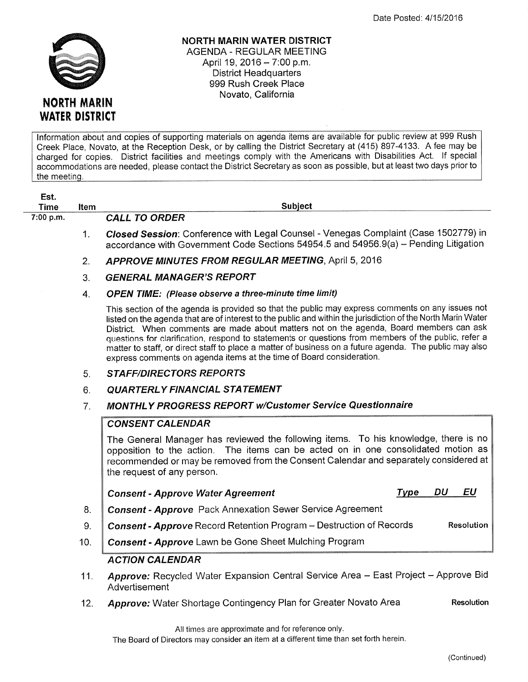

NORTH MARIN WATER DISTRICT AGENDA - REGULAR MEETING April 19, 2016 - 7:00 p.m. District Headquarters 999 Rush Creek Place Novato, California

lnformation about and copies of supporting materials on agenda items are available for public review at 999 Rush Creek Place, Novato, at the Reception Desk, or by calling the District Secretary at (415) 897-4133. Afee may be charged for copies. District facilities and meetings comply with the Americans with Disabilities Act. lf special accommodations are needed, please contact the District Secretary as soon as possible, but at least two days prior to the meeting.

| Est.<br><b>Time</b> | <b>Item</b>    | Subject                                                                                                                                                                                                                                                                                                                                                                                                                                                                                                                                                                                              |
|---------------------|----------------|------------------------------------------------------------------------------------------------------------------------------------------------------------------------------------------------------------------------------------------------------------------------------------------------------------------------------------------------------------------------------------------------------------------------------------------------------------------------------------------------------------------------------------------------------------------------------------------------------|
| 7:00 p.m.           |                | <b>CALL TO ORDER</b>                                                                                                                                                                                                                                                                                                                                                                                                                                                                                                                                                                                 |
|                     | $\mathbf{1}$ . | Closed Session: Conference with Legal Counsel - Venegas Complaint (Case 1502779) in<br>accordance with Government Code Sections 54954.5 and 54956.9(a) - Pending Litigation                                                                                                                                                                                                                                                                                                                                                                                                                          |
|                     | 2.             | <b>APPROVE MINUTES FROM REGULAR MEETING, April 5, 2016</b>                                                                                                                                                                                                                                                                                                                                                                                                                                                                                                                                           |
|                     | 3.             | <b>GENERAL MANAGER'S REPORT</b>                                                                                                                                                                                                                                                                                                                                                                                                                                                                                                                                                                      |
|                     | 4.             | <b>OPEN TIME:</b> (Please observe a three-minute time limit)                                                                                                                                                                                                                                                                                                                                                                                                                                                                                                                                         |
|                     |                | This section of the agenda is provided so that the public may express comments on any issues not<br>listed on the agenda that are of interest to the public and within the jurisdiction of the North Marin Water<br>District. When comments are made about matters not on the agenda, Board members can ask<br>questions for clarification, respond to statements or questions from members of the public, refer a<br>matter to staff, or direct staff to place a matter of business on a future agenda. The public may also<br>express comments on agenda items at the time of Board consideration. |
|                     | 5 <sub>1</sub> | <b>STAFF/DIRECTORS REPORTS</b>                                                                                                                                                                                                                                                                                                                                                                                                                                                                                                                                                                       |
|                     | 6.             | <b>QUARTERLY FINANCIAL STATEMENT</b>                                                                                                                                                                                                                                                                                                                                                                                                                                                                                                                                                                 |
|                     | 7.             | <b>MONTHLY PROGRESS REPORT w/Customer Service Questionnaire</b>                                                                                                                                                                                                                                                                                                                                                                                                                                                                                                                                      |
|                     |                | <b>CONSENT CALENDAR</b>                                                                                                                                                                                                                                                                                                                                                                                                                                                                                                                                                                              |
|                     |                | The General Manager has reviewed the following items. To his knowledge, there is no<br>opposition to the action. The items can be acted on in one consolidated motion as<br>recommended or may be removed from the Consent Calendar and separately considered at<br>the request of any person.                                                                                                                                                                                                                                                                                                       |
|                     |                | DU<br>EU<br>Type<br><b>Consent - Approve Water Agreement</b>                                                                                                                                                                                                                                                                                                                                                                                                                                                                                                                                         |
|                     | 8.             | Consent - Approve Pack Annexation Sewer Service Agreement                                                                                                                                                                                                                                                                                                                                                                                                                                                                                                                                            |
|                     | 9.             | Consent - Approve Record Retention Program - Destruction of Records<br>Resolution                                                                                                                                                                                                                                                                                                                                                                                                                                                                                                                    |
|                     | 10.            | Consent - Approve Lawn be Gone Sheet Mulching Program                                                                                                                                                                                                                                                                                                                                                                                                                                                                                                                                                |
|                     |                | <b>ACTION CALENDAR</b>                                                                                                                                                                                                                                                                                                                                                                                                                                                                                                                                                                               |
|                     | 11.            | Approve: Recycled Water Expansion Central Service Area - East Project - Approve Bid<br>Advertisement                                                                                                                                                                                                                                                                                                                                                                                                                                                                                                 |
|                     | 12.            | Approve: Water Shortage Contingency Plan for Greater Novato Area<br><b>Resolution</b>                                                                                                                                                                                                                                                                                                                                                                                                                                                                                                                |

All times are approximate and for reference only.

The Board of Directors may consider an item at a different time than set forth herein.